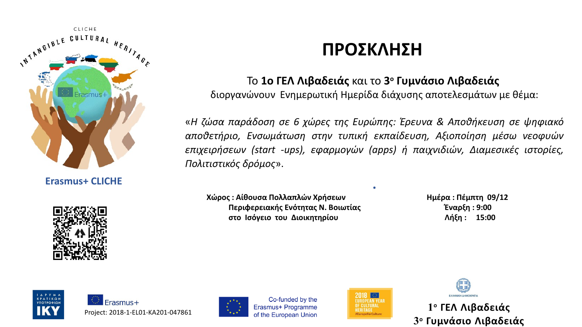

**Erasmus+ CLICHΕ**



## **ΠΡΟΣΚΛΗΣΗ**

## Το **1ο ΓΕΛ Λιβαδειάς** και το **3 ο Γυμνάσιο Λιβαδειάς**

διοργανώνουν Ενημερωτική Ημερίδα διάχυσης αποτελεσμάτων με θέμα:

«*Η ζώσα παράδοση σε 6 χώρες της Ευρώπης: Έρευνα & Αποθήκευση σε ψηφιακό αποθετήριο, Ενσωμάτωση στην τυπική εκπαίδευση, Αξιοποίηση μέσω νεοφυών επιχειρήσεων (start -ups), εφαρμογών (apps) ή παιχνιδιών, Διαμεσικές ιστορίες, Πολιτιστικός δρόμος*».

**.**

 **Χώρος : Αίθουσα Πολλαπλών Χρήσεων Ημέρα : Πέμπτη 09/12 Περιφερειακής Ενότητας Ν. Βοιωτίας Έναρξη : 9:00 στο Ισόγειο του Διοικητηρίου Λήξη : 15:00**





Co-funded by the



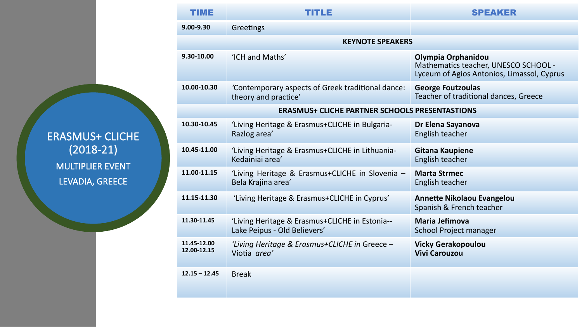ERASMUS+ CLICHE (2018-21) MULTIPLIER EVENT LEVADIA, GREECE

| TIME                                                  | TITLE                                                                          | <b>SPEAKER</b>                                                                                           |  |  |
|-------------------------------------------------------|--------------------------------------------------------------------------------|----------------------------------------------------------------------------------------------------------|--|--|
| $9.00 - 9.30$                                         | Greetings                                                                      |                                                                                                          |  |  |
| <b>KEYNOTE SPEAKERS</b>                               |                                                                                |                                                                                                          |  |  |
| 9.30-10.00                                            | 'ICH and Maths'                                                                | Olympia Orphanidou<br>Mathematics teacher, UNESCO SCHOOL -<br>Lyceum of Agios Antonios, Limassol, Cyprus |  |  |
| 10.00-10.30                                           | 'Contemporary aspects of Greek traditional dance:<br>theory and practice'      | <b>George Foutzoulas</b><br>Teacher of traditional dances, Greece                                        |  |  |
| <b>ERASMUS+ CLICHE PARTNER SCHOOLS PRESENTASTIONS</b> |                                                                                |                                                                                                          |  |  |
| 10.30-10.45                                           | 'Living Heritage & Erasmus+CLICHE in Bulgaria-<br>Razlog area'                 | Dr Elena Sayanova<br>English teacher                                                                     |  |  |
| 10.45-11.00                                           | 'Living Heritage & Erasmus+CLICHE in Lithuania-<br>Kedainiai area'             | <b>Gitana Kaupiene</b><br>English teacher                                                                |  |  |
| 11.00-11.15                                           | 'Living Heritage & Erasmus+CLICHE in Slovenia -<br>Bela Krajina area'          | <b>Marta Strmec</b><br>English teacher                                                                   |  |  |
| 11.15-11.30                                           | 'Living Heritage & Erasmus+CLICHE in Cyprus'                                   | <b>Annette Nikolaou Evangelou</b><br>Spanish & French teacher                                            |  |  |
| 11.30-11.45                                           | 'Living Heritage & Erasmus+CLICHE in Estonia--<br>Lake Peipus - Old Believers' | <b>Maria Jefimova</b><br><b>School Project manager</b>                                                   |  |  |
| 11.45-12.00<br>12.00-12.15                            | 'Living Heritage & Erasmus+CLICHE in Greece -<br>Viotia area'                  | <b>Vicky Gerakopoulou</b><br><b>Vivi Carouzou</b>                                                        |  |  |
| $12.15 - 12.45$                                       | <b>Break</b>                                                                   |                                                                                                          |  |  |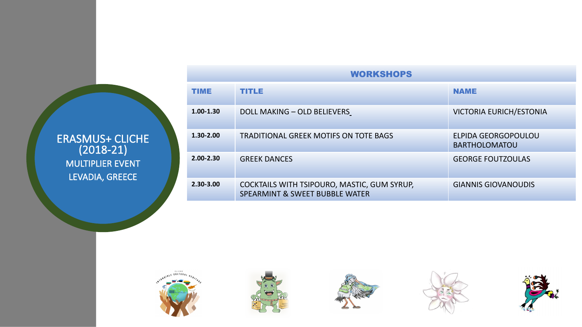## ERASMUS+ CLICHE (2018-21) MULTIPLIER EVENT LEVADIA, GREECE

| <b>WORKSHOPS</b> |                                                                                          |                                             |  |
|------------------|------------------------------------------------------------------------------------------|---------------------------------------------|--|
| <b>TIME</b>      | <b>TITLE</b>                                                                             | <b>NAME</b>                                 |  |
| $1.00 - 1.30$    | DOLL MAKING - OLD BELIEVERS                                                              | <b>VICTORIA EURICH/ESTONIA</b>              |  |
| $1.30 - 2.00$    | <b>TRADITIONAL GREEK MOTIFS ON TOTE BAGS</b>                                             | ELPIDA GEORGOPOULOU<br><b>BARTHOLOMATOU</b> |  |
| $2.00 - 2.30$    | <b>GREEK DANCES</b>                                                                      | <b>GEORGE FOUTZOULAS</b>                    |  |
| $2.30 - 3.00$    | COCKTAILS WITH TSIPOURO, MASTIC, GUM SYRUP,<br><b>SPEARMINT &amp; SWEET BUBBLE WATER</b> | <b>GIANNIS GIOVANOUDIS</b>                  |  |